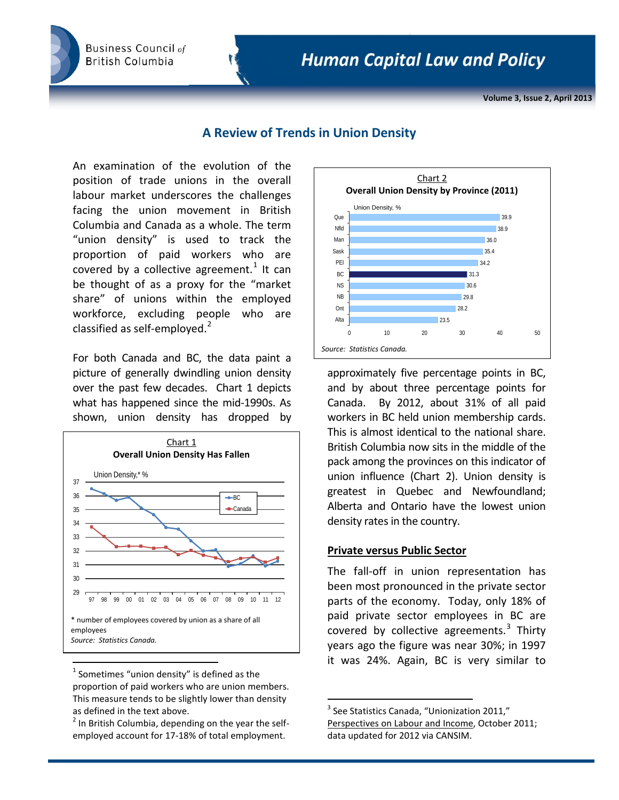**Business Council of British Columbia** 

**Volume 3, Issue 2, April 2013**

# **A Review of Trends in Union Density**

An examination of the evolution of the position of trade unions in the overall labour market underscores the challenges facing the union movement in British Columbia and Canada as a whole. The term "union density" is used to track the proportion of paid workers who are covered by a collective agreement.<sup>[1](#page-0-0)</sup> It can be thought of as a proxy for the "market share" of unions within the employed workforce, excluding people who are classified as self-employed.<sup>[2](#page-0-1)</sup>

For both Canada and BC, the data paint a picture of generally dwindling union density over the past few decades. Chart 1 depicts what has happened since the mid-1990s. As shown, union density has dropped by



<span id="page-0-0"></span> $1$  Sometimes "union density" is defined as the proportion of paid workers who are union members. This measure tends to be slightly lower than density as defined in the text above.

<span id="page-0-2"></span><span id="page-0-1"></span> $2$  In British Columbia, depending on the year the selfemployed account for 17-18% of total employment.



approximately five percentage points in BC, and by about three percentage points for Canada. By 2012, about 31% of all paid workers in BC held union membership cards. This is almost identical to the national share. British Columbia now sits in the middle of the pack among the provinces on this indicator of union influence (Chart 2). Union density is greatest in Quebec and Newfoundland; Alberta and Ontario have the lowest union density rates in the country.

## **Private versus Public Sector**

The fall-off in union representation has been most pronounced in the private sector parts of the economy. Today, only 18% of paid private sector employees in BC are covered by collective agreements. $3$  Thirty years ago the figure was near 30%; in 1997 it was 24%. Again, BC is very similar to

 $3$  See Statistics Canada, "Unionization 2011," Perspectives on Labour and Income, October 2011; data updated for 2012 via CANSIM.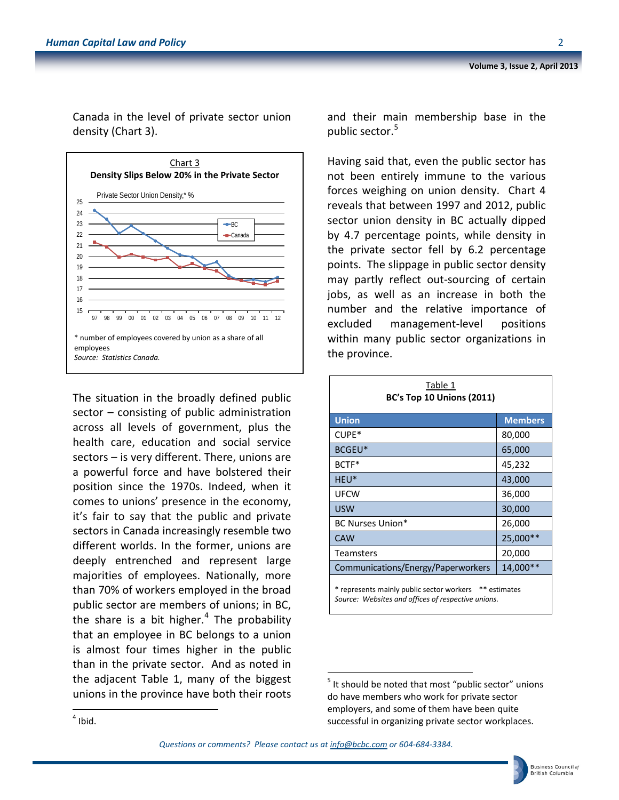Canada in the level of private sector union density (Chart 3).



The situation in the broadly defined public sector – consisting of public administration across all levels of government, plus the health care, education and social service sectors – is very different. There, unions are a powerful force and have bolstered their position since the 1970s. Indeed, when it comes to unions' presence in the economy, it's fair to say that the public and private sectors in Canada increasingly resemble two different worlds. In the former, unions are deeply entrenched and represent large majorities of employees. Nationally, more than 70% of workers employed in the broad public sector are members of unions; in BC, the share is a bit higher.<sup>[4](#page-1-0)</sup> The probability that an employee in BC belongs to a union is almost four times higher in the public than in the private sector. And as noted in the adjacent Table 1, many of the biggest unions in the province have both their roots and their main membership base in the public sector.<sup>[5](#page-1-1)</sup>

Having said that, even the public sector has not been entirely immune to the various forces weighing on union density. Chart 4 reveals that between 1997 and 2012, public sector union density in BC actually dipped by 4.7 percentage points, while density in the private sector fell by 6.2 percentage points. The slippage in public sector density may partly reflect out-sourcing of certain jobs, as well as an increase in both the number and the relative importance of excluded management-level positions within many public sector organizations in the province.

| Table 1<br><b>BC's Top 10 Unions (2011)</b>                                                                  |                |  |  |  |
|--------------------------------------------------------------------------------------------------------------|----------------|--|--|--|
| <b>Union</b>                                                                                                 | <b>Members</b> |  |  |  |
| CUPE*                                                                                                        | 80,000         |  |  |  |
| BCGEU*                                                                                                       | 65,000         |  |  |  |
| BCTF*                                                                                                        | 45,232         |  |  |  |
| HEU <sup>*</sup>                                                                                             | 43,000         |  |  |  |
| <b>UFCW</b>                                                                                                  | 36,000         |  |  |  |
| <b>USW</b>                                                                                                   | 30,000         |  |  |  |
| <b>BC Nurses Union*</b>                                                                                      | 26,000         |  |  |  |
| <b>CAW</b>                                                                                                   | 25,000**       |  |  |  |
| <b>Teamsters</b>                                                                                             | 20,000         |  |  |  |
| Communications/Energy/Paperworkers                                                                           | 14,000**       |  |  |  |
| * represents mainly public sector workers ** estimates<br>Source: Websites and offices of respective unions. |                |  |  |  |



 $<sup>5</sup>$  It should be noted that most "public sector" unions</sup> do have members who work for private sector employers, and some of them have been quite successful in organizing private sector workplaces.

<span id="page-1-1"></span><span id="page-1-0"></span> $4$  Ibid.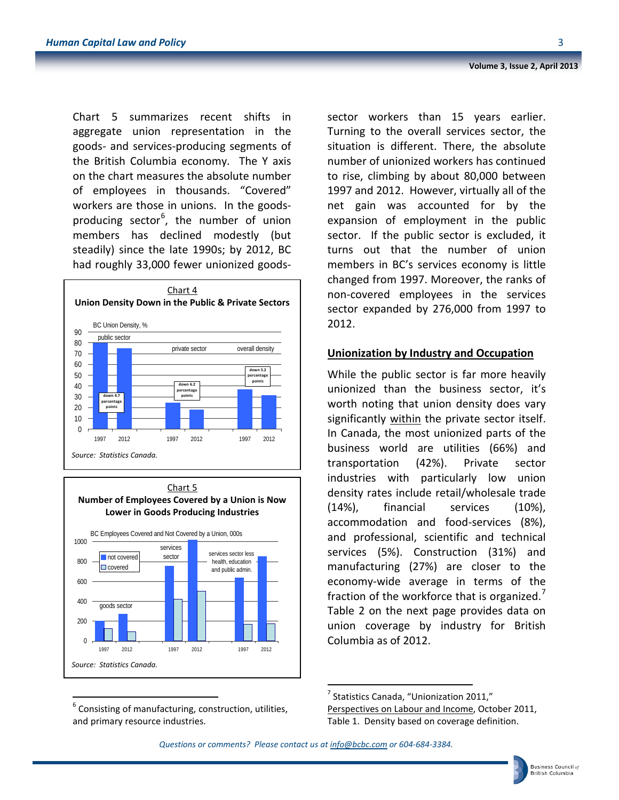Chart 5 summarizes recent shifts in aggregate union representation in the goods- and services-producing segments of the British Columbia economy. The Y axis on the chart measures the absolute number of employees in thousands. "Covered" workers are those in unions. In the goods-producing sector<sup>[6](#page-2-0)</sup>, the number of union members has declined modestly (but steadily) since the late 1990s; by 2012, BC had roughly 33,000 fewer unionized goods-





<span id="page-2-1"></span><span id="page-2-0"></span> $6$  Consisting of manufacturing, construction, utilities, and primary resource industries.

sector workers than 15 years earlier. Turning to the overall services sector, the situation is different. There, the absolute number of unionized workers has continued to rise, climbing by about 80,000 between 1997 and 2012. However, virtually all of the net gain was accounted for by the expansion of employment in the public sector. If the public sector is excluded, it turns out that the number of union members in BC's services economy is little changed from 1997. Moreover, the ranks of non-covered employees in the services sector expanded by 276,000 from 1997 to 2012.

## **Unionization by Industry and Occupation**

While the public sector is far more heavily unionized than the business sector, it's worth noting that union density does vary significantly within the private sector itself. In Canada, the most unionized parts of the business world are utilities (66%) and transportation (42%). Private sector industries with particularly low union density rates include retail/wholesale trade (14%), financial services (10%), accommodation and food-services (8%), and professional, scientific and technical services (5%). Construction (31%) and manufacturing (27%) are closer to the economy-wide average in terms of the fraction of the workforce that is organized.<sup>[7](#page-2-1)</sup> Table 2 on the next page provides data on union coverage by industry for British Columbia as of 2012.

Perspectives on Labour and Income, October 2011, Table 1. Density based on coverage definition.

*Questions or comments? Please contact us a[t info@bcbc.com](mailto:info@bcbc.com) or 604-684-3384.*

 $<sup>7</sup>$  Statistics Canada, "Unionization 2011,"</sup>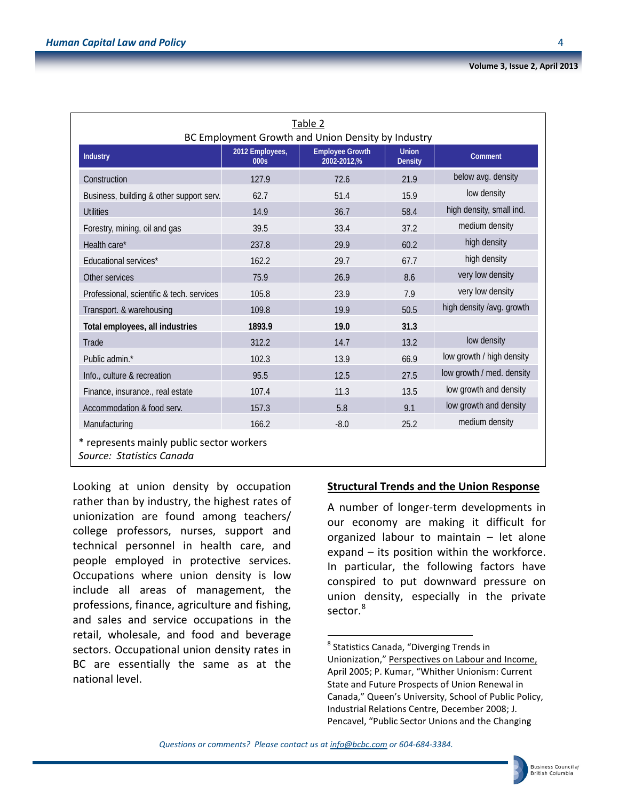| Table 2<br>BC Employment Growth and Union Density by Industry          |                         |                                       |                                |                           |  |
|------------------------------------------------------------------------|-------------------------|---------------------------------------|--------------------------------|---------------------------|--|
| Industry                                                               | 2012 Employees,<br>000s | <b>Employee Growth</b><br>2002-2012,% | <b>Union</b><br><b>Density</b> | <b>Comment</b>            |  |
| Construction                                                           | 127.9                   | 72.6                                  | 21.9                           | below avg. density        |  |
| Business, building & other support serv.                               | 62.7                    | 51.4                                  | 15.9                           | low density               |  |
| <b>Utilities</b>                                                       | 14.9                    | 36.7                                  | 58.4                           | high density, small ind.  |  |
| Forestry, mining, oil and gas                                          | 39.5                    | 33.4                                  | 37.2                           | medium density            |  |
| Health care*                                                           | 237.8                   | 29.9                                  | 60.2                           | high density              |  |
| Educational services*                                                  | 162.2                   | 29.7                                  | 67.7                           | high density              |  |
| Other services                                                         | 75.9                    | 26.9                                  | 8.6                            | very low density          |  |
| Professional, scientific & tech. services                              | 105.8                   | 23.9                                  | 7.9                            | very low density          |  |
| Transport. & warehousing                                               | 109.8                   | 19.9                                  | 50.5                           | high density /avg. growth |  |
| Total employees, all industries                                        | 1893.9                  | 19.0                                  | 31.3                           |                           |  |
| Trade                                                                  | 312.2                   | 14.7                                  | 13.2                           | low density               |  |
| Public admin.*                                                         | 102.3                   | 13.9                                  | 66.9                           | low growth / high density |  |
| Info., culture & recreation                                            | 95.5                    | 12.5                                  | 27.5                           | low growth / med. density |  |
| Finance, insurance., real estate                                       | 107.4                   | 11.3                                  | 13.5                           | low growth and density    |  |
| Accommodation & food serv.                                             | 157.3                   | 5.8                                   | 9.1                            | low growth and density    |  |
| Manufacturing                                                          | 166.2                   | $-8.0$                                | 25.2                           | medium density            |  |
| * represents mainly public sector workers<br>Source: Statistics Canada |                         |                                       |                                |                           |  |

<span id="page-3-0"></span>Looking at union density by occupation rather than by industry, the highest rates of unionization are found among teachers/ college professors, nurses, support and technical personnel in health care, and people employed in protective services. Occupations where union density is low include all areas of management, the professions, finance, agriculture and fishing, and sales and service occupations in the retail, wholesale, and food and beverage sectors. Occupational union density rates in BC are essentially the same as at the national level.

## **Structural Trends and the Union Response**

A number of longer-term developments in our economy are making it difficult for organized labour to maintain – let alone expand – its position within the workforce. In particular, the following factors have conspired to put downward pressure on union density, especially in the private sector.<sup>[8](#page-3-0)</sup>

*Questions or comments? Please contact us a[t info@bcbc.com](mailto:info@bcbc.com) or 604-684-3384.*

 <sup>8</sup> Statistics Canada, "Diverging Trends in

Unionization," Perspectives on Labour and Income, April 2005; P. Kumar, "Whither Unionism: Current State and Future Prospects of Union Renewal in Canada," Queen's University, School of Public Policy, Industrial Relations Centre, December 2008; J. Pencavel, "Public Sector Unions and the Changing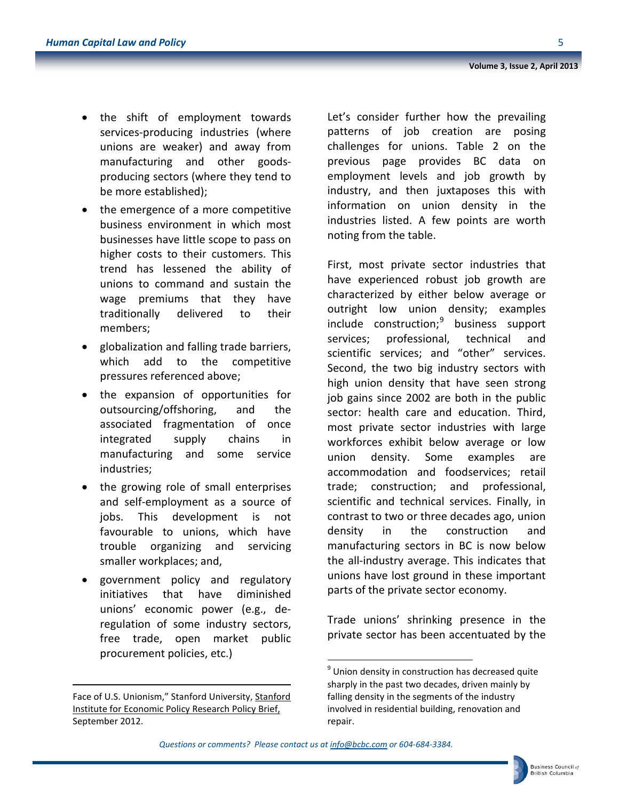- the shift of employment towards services-producing industries (where unions are weaker) and away from manufacturing and other goodsproducing sectors (where they tend to be more established);
- the emergence of a more competitive business environment in which most businesses have little scope to pass on higher costs to their customers. This trend has lessened the ability of unions to command and sustain the wage premiums that they have traditionally delivered to their members;
- globalization and falling trade barriers, which add to the competitive pressures referenced above;
- the expansion of opportunities for outsourcing/offshoring, and the associated fragmentation of once integrated supply chains in manufacturing and some service industries;
- the growing role of small enterprises and self-employment as a source of jobs. This development is not favourable to unions, which have trouble organizing and servicing smaller workplaces; and,
- government policy and regulatory initiatives that have diminished unions' economic power (e.g., deregulation of some industry sectors, free trade, open market public procurement policies, etc.)

<span id="page-4-0"></span>l

Let's consider further how the prevailing patterns of job creation are posing challenges for unions. Table 2 on the previous page provides BC data on employment levels and job growth by industry, and then juxtaposes this with information on union density in the industries listed. A few points are worth noting from the table.

First, most private sector industries that have experienced robust job growth are characterized by either below average or outright low union density; examples  $include$  construction; $<sup>9</sup>$  $<sup>9</sup>$  $<sup>9</sup>$  business support</sup> services; professional, technical and scientific services; and "other" services. Second, the two big industry sectors with high union density that have seen strong job gains since 2002 are both in the public sector: health care and education. Third, most private sector industries with large workforces exhibit below average or low union density. Some examples are accommodation and foodservices; retail trade; construction; and professional, scientific and technical services. Finally, in contrast to two or three decades ago, union density in the construction and manufacturing sectors in BC is now below the all-industry average. This indicates that unions have lost ground in these important parts of the private sector economy.

Trade unions' shrinking presence in the private sector has been accentuated by the



Face of U.S. Unionism," Stanford University, Stanford Institute for Economic Policy Research Policy Brief, September 2012.

 $9$  Union density in construction has decreased quite sharply in the past two decades, driven mainly by falling density in the segments of the industry involved in residential building, renovation and repair.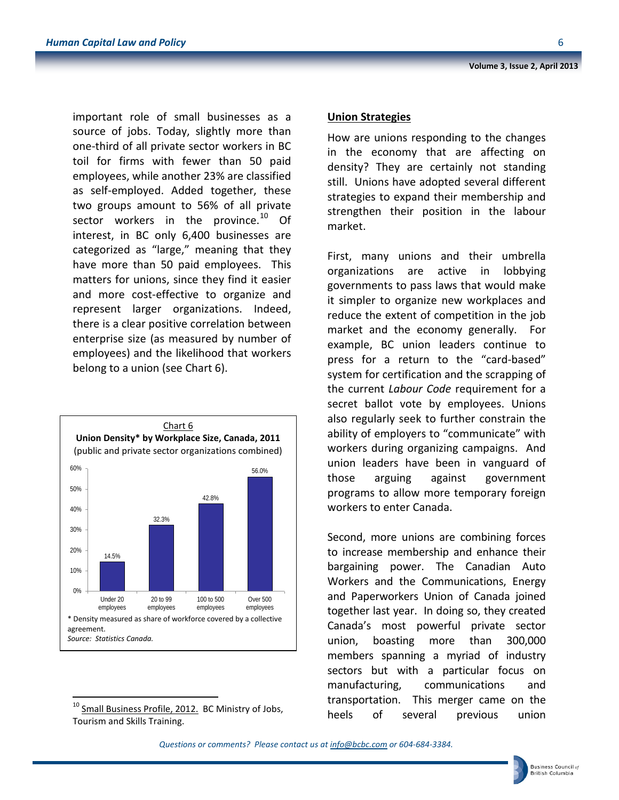**Union Strategies**

How are unions responding to the changes in the economy that are affecting on density? They are certainly not standing still. Unions have adopted several different strategies to expand their membership and strengthen their position in the labour market.

First, many unions and their umbrella organizations are active in lobbying governments to pass laws that would make it simpler to organize new workplaces and reduce the extent of competition in the job market and the economy generally. For example, BC union leaders continue to press for a return to the "card-based" system for certification and the scrapping of the current *Labour Code* requirement for a secret ballot vote by employees. Unions also regularly seek to further constrain the ability of employers to "communicate" with workers during organizing campaigns. And union leaders have been in vanguard of those arguing against government programs to allow more temporary foreign workers to enter Canada.

Second, more unions are combining forces to increase membership and enhance their bargaining power. The Canadian Auto Workers and the Communications, Energy and Paperworkers Union of Canada joined together last year. In doing so, they created Canada's most powerful private sector union, boasting more than 300,000 members spanning a myriad of industry sectors but with a particular focus on manufacturing, communications and transportation. This merger came on the heels of several previous union

<span id="page-5-0"></span>

\* Density measured as share of workforce covered by a collective

32.3%

20 to 99 employees

agreement.

0%

10%

20% 30%

40%

50% 60%

*Source: Statistics Canada.*

Under 20 employees

14.5%

Chart 6 **Union Density\* by Workplace Size, Canada, 2011** (public and private sector organizations combined)

belong to a union (see Chart 6).

important role of small businesses as a source of jobs. Today, slightly more than one-third of all private sector workers in BC toil for firms with fewer than 50 paid employees, while another 23% are classified as self-employed. Added together, these two groups amount to 56% of all private sector workers in the province. $^{10}$  $^{10}$  $^{10}$  Of interest, in BC only 6,400 businesses are categorized as "large," meaning that they have more than 50 paid employees. This matters for unions, since they find it easier and more cost-effective to organize and represent larger organizations. Indeed, there is a clear positive correlation between enterprise size (as measured by number of employees) and the likelihood that workers

42.8%

100 to 500 employees 56.0%

Over 500 employees **Volume 3, Issue 2, April 2013**